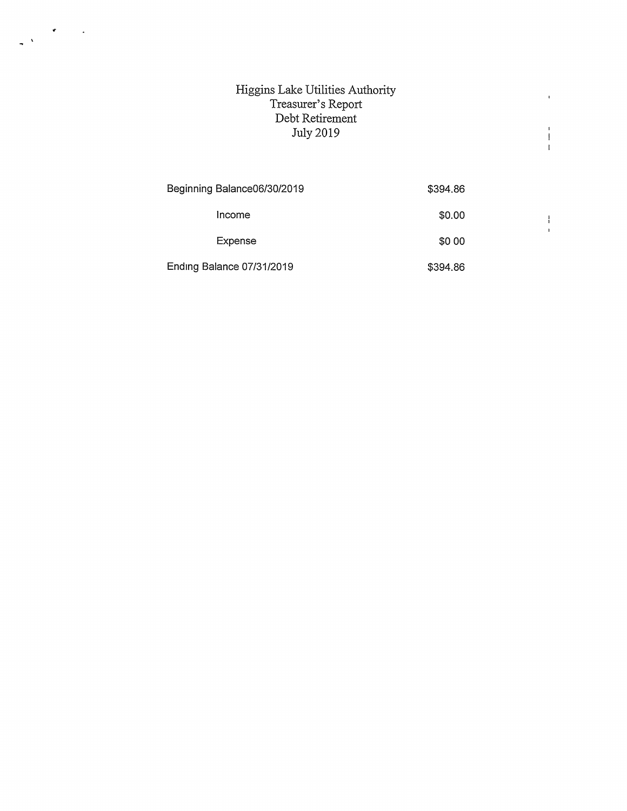## Higgins Lake Utilities Authority Treasurer's Report Debt Retirement July 2019

 $\frac{1}{\sqrt{2}}\sum_{i=1}^{n} \frac{1}{\sqrt{2}}\left(\frac{1}{\sqrt{2}}\right)^2\left(\frac{1}{\sqrt{2}}\right)^2.$ 

| Beginning Balance06/30/2019 | \$394.86 |  |
|-----------------------------|----------|--|
| Income                      | \$0.00   |  |
| Expense                     | \$0 00   |  |
| Ending Balance 07/31/2019   | \$394.86 |  |

 $\bar{\mathbf{r}}$ 

 $\begin{array}{c} 1 \\ 1 \\ 1 \end{array}$ 

 $\begin{array}{c} 1 \\ 1 \\ 1 \end{array}$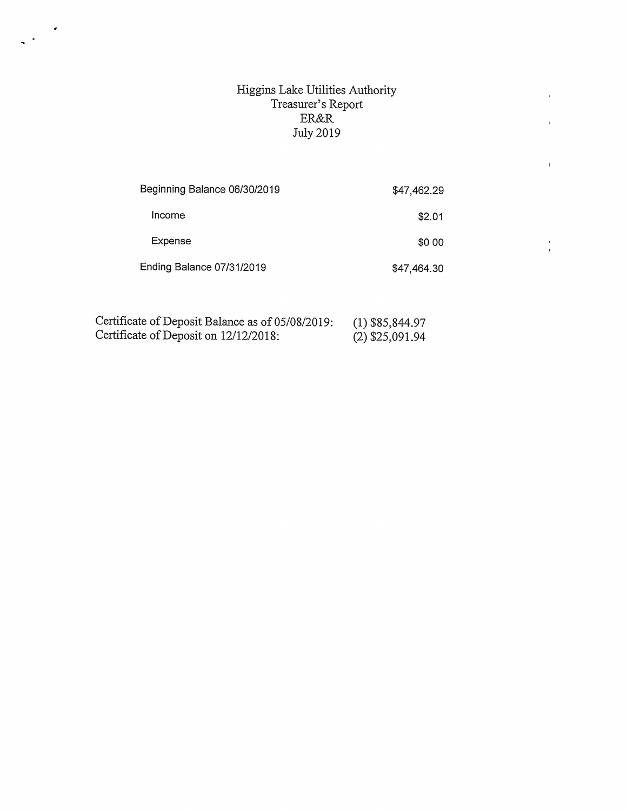## Higgins Lake Utilities Authority Treasurer's Report ER&R July 2019

 $\bar{\mathbf{r}}$ 

 $\bar{V}$ 

 $\frac{1}{3}$ 

| Beginning Balance 06/30/2019 | \$47,462.29 |
|------------------------------|-------------|
| Income                       | \$2.01      |
| Expense                      | \$0.00      |
| Ending Balance 07/31/2019    | \$47,464.30 |

| Certificate of Deposit Balance as of 05/08/2019: | $(1)$ \$85,844.97 |
|--------------------------------------------------|-------------------|
| Certificate of Deposit on 12/12/2018:            | (2) \$25,091.94   |

 $\frac{1}{\left\| \frac{1}{\left\| \frac{1}{\left\| \frac{1}{\left\| \frac{1}{\left\| \frac{1}{\left\| \frac{1}{\left\| \frac{1}{\left\| \frac{1}{\left\| \frac{1}{\left\| \frac{1}{\left\| \frac{1}{\left\| \frac{1}{\left\| \frac{1}{\left\| \frac{1}{\left\| \frac{1}{\left\| \frac{1}{\left\| \frac{1}{\left\| \frac{1}{\left\| \frac{1}{\left\| \frac{1}{\left\| \frac{1}{\left\| \frac{1}{\left\| \frac{1}{\left\| \frac{1$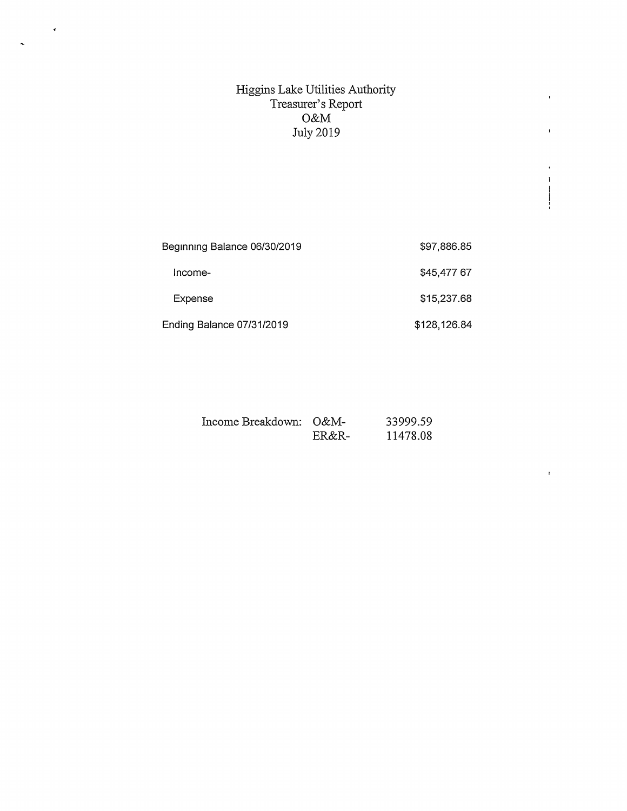## Higgins Lake Utilities Authority Treasurer's Report O&M July 2019

 $\bar{1}$ 

 $\mathbf{r}$ 

 $\mathbf{I}$  $\frac{1}{\sqrt{2\pi}}$ 

 $\bar{r}$ 

 $\langle \bullet \rangle$ 

 $\ddot{\phantom{0}}$ 

| Beginning Balance 06/30/2019 | \$97,886.85  |
|------------------------------|--------------|
| Income-                      | \$45,477 67  |
| Expense                      | \$15,237.68  |
| Ending Balance 07/31/2019    | \$128,126.84 |

| Income Breakdown: O&M- |       | 33999.59 |
|------------------------|-------|----------|
|                        | ER&R- | 11478.08 |